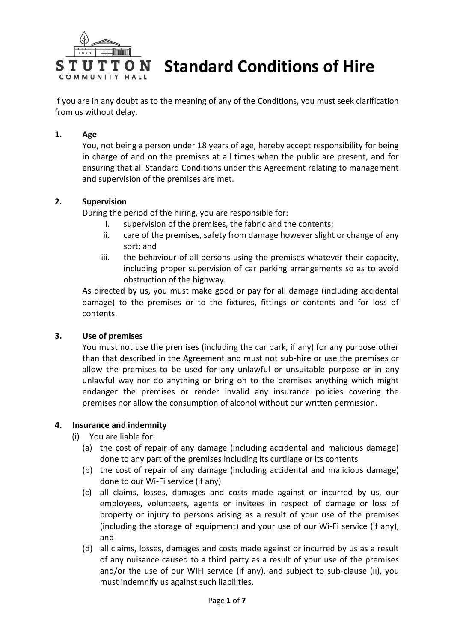

**Standard Conditions of Hire**

If you are in any doubt as to the meaning of any of the Conditions, you must seek clarification from us without delay.

# **1. Age**

You, not being a person under 18 years of age, hereby accept responsibility for being in charge of and on the premises at all times when the public are present, and for ensuring that all Standard Conditions under this Agreement relating to management and supervision of the premises are met.

# **2. Supervision**

During the period of the hiring, you are responsible for:

- i. supervision of the premises, the fabric and the contents;
- ii. care of the premises, safety from damage however slight or change of any sort; and
- iii. the behaviour of all persons using the premises whatever their capacity, including proper supervision of car parking arrangements so as to avoid obstruction of the highway.

As directed by us, you must make good or pay for all damage (including accidental damage) to the premises or to the fixtures, fittings or contents and for loss of contents.

#### **3. Use of premises**

You must not use the premises (including the car park, if any) for any purpose other than that described in the Agreement and must not sub-hire or use the premises or allow the premises to be used for any unlawful or unsuitable purpose or in any unlawful way nor do anything or bring on to the premises anything which might endanger the premises or render invalid any insurance policies covering the premises nor allow the consumption of alcohol without our written permission.

#### **4. Insurance and indemnity**

- (i) You are liable for:
	- (a) the cost of repair of any damage (including accidental and malicious damage) done to any part of the premises including its curtilage or its contents
	- (b) the cost of repair of any damage (including accidental and malicious damage) done to our Wi-Fi service (if any)
	- (c) all claims, losses, damages and costs made against or incurred by us, our employees, volunteers, agents or invitees in respect of damage or loss of property or injury to persons arising as a result of your use of the premises (including the storage of equipment) and your use of our Wi-Fi service (if any), and
	- (d) all claims, losses, damages and costs made against or incurred by us as a result of any nuisance caused to a third party as a result of your use of the premises and/or the use of our WIFI service (if any), and subject to sub-clause (ii), you must indemnify us against such liabilities.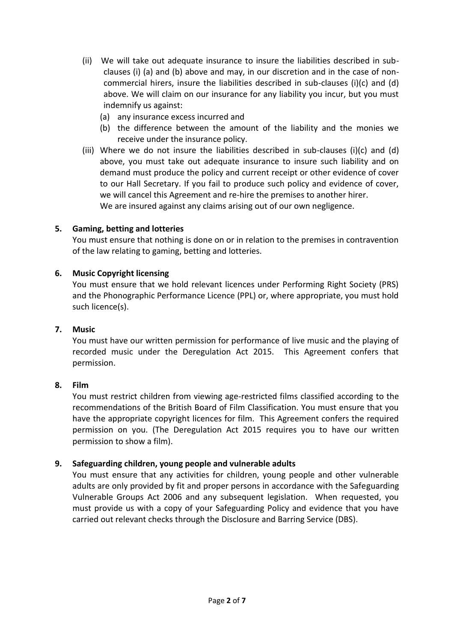- (ii) We will take out adequate insurance to insure the liabilities described in subclauses (i) (a) and (b) above and may, in our discretion and in the case of noncommercial hirers, insure the liabilities described in sub-clauses (i)(c) and (d) above. We will claim on our insurance for any liability you incur, but you must indemnify us against:
	- (a) any insurance excess incurred and
	- (b) the difference between the amount of the liability and the monies we receive under the insurance policy.
- (iii) Where we do not insure the liabilities described in sub-clauses (i)(c) and (d) above, you must take out adequate insurance to insure such liability and on demand must produce the policy and current receipt or other evidence of cover to our Hall Secretary. If you fail to produce such policy and evidence of cover, we will cancel this Agreement and re-hire the premises to another hirer. We are insured against any claims arising out of our own negligence.

# **5. Gaming, betting and lotteries**

You must ensure that nothing is done on or in relation to the premises in contravention of the law relating to gaming, betting and lotteries.

# **6. Music Copyright licensing**

You must ensure that we hold relevant licences under Performing Right Society (PRS) and the Phonographic Performance Licence (PPL) or, where appropriate, you must hold such licence(s).

#### **7. Music**

You must have our written permission for performance of live music and the playing of recorded music under the Deregulation Act 2015. This Agreement confers that permission.

#### **8. Film**

You must restrict children from viewing age-restricted films classified according to the recommendations of the British Board of Film Classification. You must ensure that you have the appropriate copyright licences for film. This Agreement confers the required permission on you. (The Deregulation Act 2015 requires you to have our written permission to show a film).

## **9. Safeguarding children, young people and vulnerable adults**

You must ensure that any activities for children, young people and other vulnerable adults are only provided by fit and proper persons in accordance with the Safeguarding Vulnerable Groups Act 2006 and any subsequent legislation. When requested, you must provide us with a copy of your Safeguarding Policy and evidence that you have carried out relevant checks through the Disclosure and Barring Service (DBS).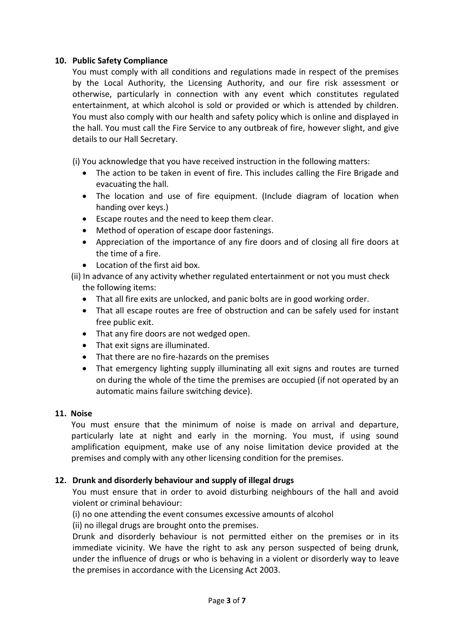# **10. Public Safety Compliance**

You must comply with all conditions and regulations made in respect of the premises by the Local Authority, the Licensing Authority, and our fire risk assessment or otherwise, particularly in connection with any event which constitutes regulated entertainment, at which alcohol is sold or provided or which is attended by children. You must also comply with our health and safety policy which is online and displayed in the hall. You must call the Fire Service to any outbreak of fire, however slight, and give details to our Hall Secretary.

(i) You acknowledge that you have received instruction in the following matters:

- The action to be taken in event of fire. This includes calling the Fire Brigade and evacuating the hall.
- The location and use of fire equipment. (Include diagram of location when handing over keys.)
- Escape routes and the need to keep them clear.
- Method of operation of escape door fastenings.
- Appreciation of the importance of any fire doors and of closing all fire doors at the time of a fire.
- Location of the first aid box.
- (ii) In advance of any activity whether regulated entertainment or not you must check the following items:
	- That all fire exits are unlocked, and panic bolts are in good working order.
	- That all escape routes are free of obstruction and can be safely used for instant free public exit.
	- That any fire doors are not wedged open.
	- That exit signs are illuminated.
	- That there are no fire-hazards on the premises
	- That emergency lighting supply illuminating all exit signs and routes are turned on during the whole of the time the premises are occupied (if not operated by an automatic mains failure switching device).

# **11. Noise**

You must ensure that the minimum of noise is made on arrival and departure, particularly late at night and early in the morning. You must, if using sound amplification equipment, make use of any noise limitation device provided at the premises and comply with any other licensing condition for the premises.

# **12. Drunk and disorderly behaviour and supply of illegal drugs**

You must ensure that in order to avoid disturbing neighbours of the hall and avoid violent or criminal behaviour:

(i) no one attending the event consumes excessive amounts of alcohol

(ii) no illegal drugs are brought onto the premises.

Drunk and disorderly behaviour is not permitted either on the premises or in its immediate vicinity. We have the right to ask any person suspected of being drunk, under the influence of drugs or who is behaving in a violent or disorderly way to leave the premises in accordance with the Licensing Act 2003.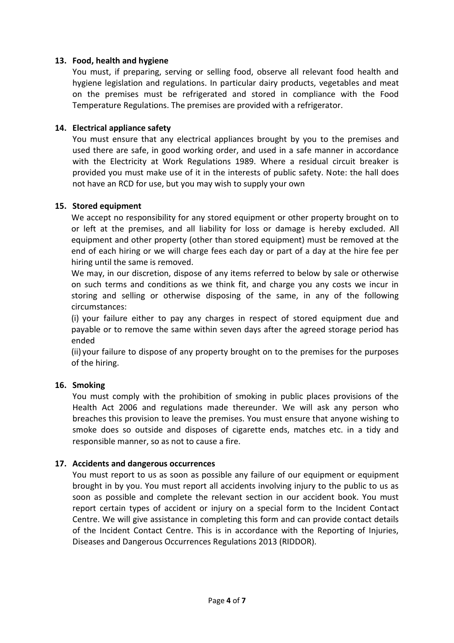# **13. Food, health and hygiene**

You must, if preparing, serving or selling food, observe all relevant food health and hygiene legislation and regulations. In particular dairy products, vegetables and meat on the premises must be refrigerated and stored in compliance with the Food Temperature Regulations. The premises are provided with a refrigerator.

# **14. Electrical appliance safety**

You must ensure that any electrical appliances brought by you to the premises and used there are safe, in good working order, and used in a safe manner in accordance with the Electricity at Work Regulations 1989. Where a residual circuit breaker is provided you must make use of it in the interests of public safety. Note: the hall does not have an RCD for use, but you may wish to supply your own

#### **15. Stored equipment**

We accept no responsibility for any stored equipment or other property brought on to or left at the premises, and all liability for loss or damage is hereby excluded. All equipment and other property (other than stored equipment) must be removed at the end of each hiring or we will charge fees each day or part of a day at the hire fee per hiring until the same is removed.

We may, in our discretion, dispose of any items referred to below by sale or otherwise on such terms and conditions as we think fit, and charge you any costs we incur in storing and selling or otherwise disposing of the same, in any of the following circumstances:

(i) your failure either to pay any charges in respect of stored equipment due and payable or to remove the same within seven days after the agreed storage period has ended

(ii) your failure to dispose of any property brought on to the premises for the purposes of the hiring.

#### **16. Smoking**

You must comply with the prohibition of smoking in public places provisions of the Health Act 2006 and regulations made thereunder. We will ask any person who breaches this provision to leave the premises. You must ensure that anyone wishing to smoke does so outside and disposes of cigarette ends, matches etc. in a tidy and responsible manner, so as not to cause a fire.

#### **17. Accidents and dangerous occurrences**

You must report to us as soon as possible any failure of our equipment or equipment brought in by you. You must report all accidents involving injury to the public to us as soon as possible and complete the relevant section in our accident book. You must report certain types of accident or injury on a special form to the Incident Contact Centre. We will give assistance in completing this form and can provide contact details of the Incident Contact Centre. This is in accordance with the Reporting of Injuries, Diseases and Dangerous Occurrences Regulations 2013 (RIDDOR).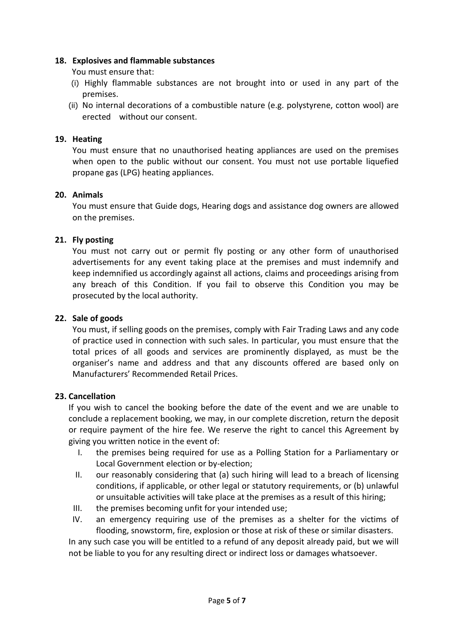## **18. Explosives and flammable substances**

You must ensure that:

- (i) Highly flammable substances are not brought into or used in any part of the premises.
- (ii) No internal decorations of a combustible nature (e.g. polystyrene, cotton wool) are erected without our consent.

# **19. Heating**

You must ensure that no unauthorised heating appliances are used on the premises when open to the public without our consent. You must not use portable liquefied propane gas (LPG) heating appliances.

# **20. Animals**

You must ensure that Guide dogs, Hearing dogs and assistance dog owners are allowed on the premises.

# **21. Fly posting**

You must not carry out or permit fly posting or any other form of unauthorised advertisements for any event taking place at the premises and must indemnify and keep indemnified us accordingly against all actions, claims and proceedings arising from any breach of this Condition. If you fail to observe this Condition you may be prosecuted by the local authority.

## **22. Sale of goods**

You must, if selling goods on the premises, comply with Fair Trading Laws and any code of practice used in connection with such sales. In particular, you must ensure that the total prices of all goods and services are prominently displayed, as must be the organiser's name and address and that any discounts offered are based only on Manufacturers' Recommended Retail Prices.

#### **23. Cancellation**

If you wish to cancel the booking before the date of the event and we are unable to conclude a replacement booking, we may, in our complete discretion, return the deposit or require payment of the hire fee. We reserve the right to cancel this Agreement by giving you written notice in the event of:

- I. the premises being required for use as a Polling Station for a Parliamentary or Local Government election or by-election;
- II. our reasonably considering that (a) such hiring will lead to a breach of licensing conditions, if applicable, or other legal or statutory requirements, or (b) unlawful or unsuitable activities will take place at the premises as a result of this hiring;
- III. the premises becoming unfit for your intended use;
- IV. an emergency requiring use of the premises as a shelter for the victims of flooding, snowstorm, fire, explosion or those at risk of these or similar disasters.

In any such case you will be entitled to a refund of any deposit already paid, but we will not be liable to you for any resulting direct or indirect loss or damages whatsoever.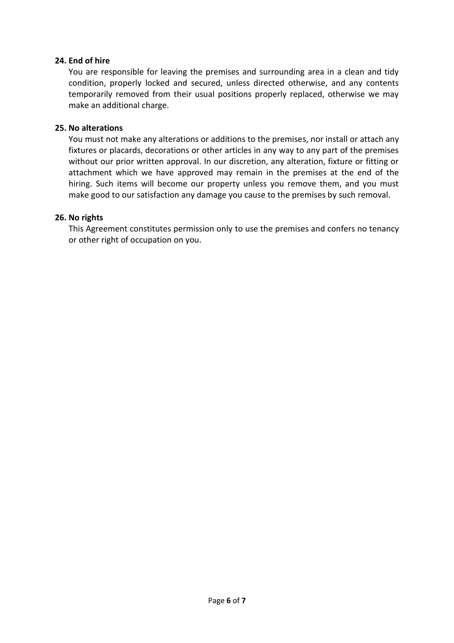# **24. End of hire**

You are responsible for leaving the premises and surrounding area in a clean and tidy condition, properly locked and secured, unless directed otherwise, and any contents temporarily removed from their usual positions properly replaced, otherwise we may make an additional charge.

## **25. No alterations**

You must not make any alterations or additions to the premises, nor install or attach any fixtures or placards, decorations or other articles in any way to any part of the premises without our prior written approval. In our discretion, any alteration, fixture or fitting or attachment which we have approved may remain in the premises at the end of the hiring. Such items will become our property unless you remove them, and you must make good to our satisfaction any damage you cause to the premises by such removal.

# **26. No rights**

This Agreement constitutes permission only to use the premises and confers no tenancy or other right of occupation on you.